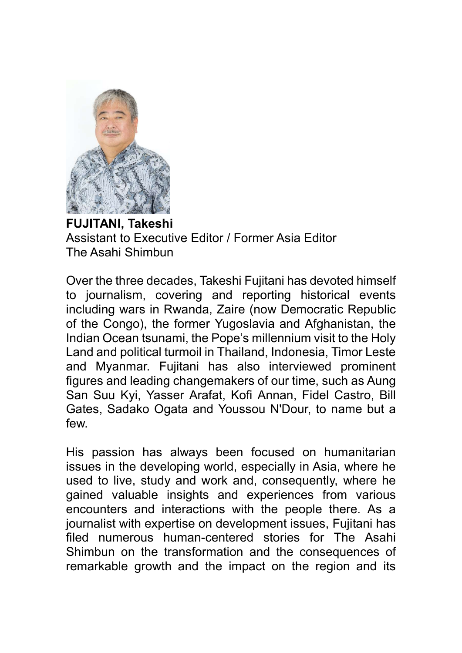

FUJITANI, Takeshi Assistant to Executive Editor / Former Asia Editor The Asahi Shimbun

Over the three decades, Takeshi Fujitani has devoted himself to journalism, covering and reporting historical events including wars in Rwanda, Zaire (now Democratic Republic of the Congo), the former Yugoslavia and Afghanistan, the Indian Ocean tsunami, the Pope's millennium visit to the Holy Land and political turmoil in Thailand, Indonesia, Timor Leste and Myanmar. Fujitani has also interviewed prominent figures and leading changemakers of our time, such as Aung San Suu Kyi, Yasser Arafat, Kofi Annan, Fidel Castro, Bill Gates, Sadako Ogata and Youssou N'Dour, to name but a few.

His passion has always been focused on humanitarian issues in the developing world, especially in Asia, where he used to live, study and work and, consequently, where he gained valuable insights and experiences from various encounters and interactions with the people there. As a journalist with expertise on development issues, Fujitani has filed numerous human-centered stories for The Asahi Shimbun on the transformation and the consequences of remarkable growth and the impact on the region and its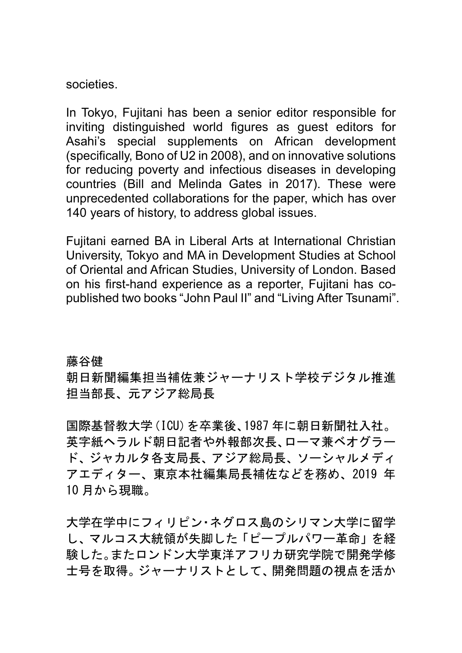societies.

In Tokyo, Fujitani has been a senior editor responsible for inviting distinguished world figures as guest editors for Asahi's special supplements on African development (specifically, Bono of U2 in 2008), and on innovative solutions for reducing poverty and infectious diseases in developing countries (Bill and Melinda Gates in 2017). These were unprecedented collaborations for the paper, which has over 140 years of history, to address global issues.

Fujitani earned BA in Liberal Arts at International Christian University, Tokyo and MA in Development Studies at School of Oriental and African Studies, University of London. Based on his first-hand experience as a reporter, Fujitani has copublished two books "John Paul II" and "Living After Tsunami".

藤谷健

朝日新聞編集担当補佐兼ジャーナリスト学校デジタル推進 担当部長、元アジア総局長

国際基督教大学(ICU)を卒業後、1987 年に朝日新聞社入社。 英字紙ヘラルド朝日記者や外報部次長、ローマ兼ベオグラー ド、ジャカルタ各支局長、アジア総局長、ソーシャルメディ アエディター、東京本社編集局長補佐などを務め、2019 年 10 月から現職。

大学在学中にフィリピン・ネグロス島のシリマン大学に留学 し、マルコス大統領が失脚した「ピープルパワー革命」を経 験した。またロンドン大学東洋アフリカ研究学院で開発学修 士号を取得。ジャーナリストとして、開発問題の視点を活か